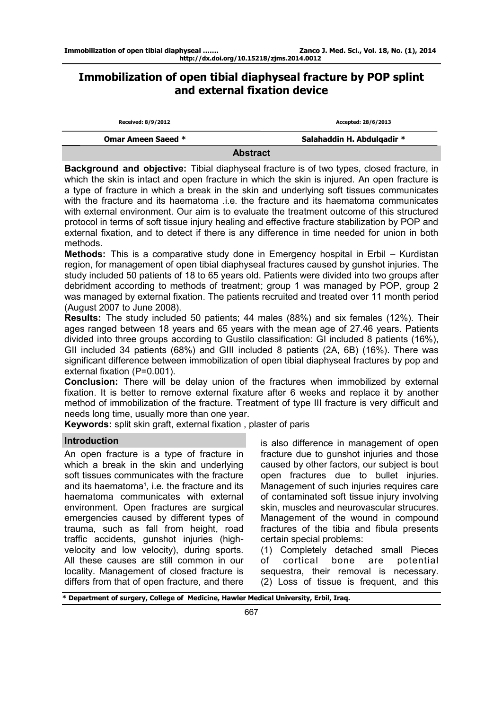# **Immobilization of open tibial diaphyseal fracture by POP splint and external fixation device**

| Received: 8/9/2012        | Accepted: 28/6/2013        |
|---------------------------|----------------------------|
| <b>Omar Ameen Saeed *</b> | Salahaddin H. Abdulqadir * |
|                           | ----                       |

**Abstract** 

**Background and objective:** Tibial diaphyseal fracture is of two types, closed fracture, in which the skin is intact and open fracture in which the skin is injured. An open fracture is a type of fracture in which a break in the skin and underlying soft tissues communicates with the fracture and its haematoma *.*i.e. the fracture and its haematoma communicates with external environment. Our aim is to evaluate the treatment outcome of this structured protocol in terms of soft tissue injury healing and effective fracture stabilization by POP and external fixation, and to detect if there is any difference in time needed for union in both methods.

**Methods:** This is a comparative study done in Emergency hospital in Erbil – Kurdistan region, for management of open tibial diaphyseal fractures caused by gunshot injuries. The study included 50 patients of 18 to 65 years old. Patients were divided into two groups after debridment according to methods of treatment; group 1 was managed by POP, group 2 was managed by external fixation. The patients recruited and treated over 11 month period (August 2007 to June 2008).

**Results:** The study included 50 patients; 44 males (88%) and six females (12%). Their ages ranged between 18 years and 65 years with the mean age of 27.46 years. Patients divided into three groups according to Gustilo classification: GI included 8 patients (16%), GII included 34 patients (68%) and GIII included 8 patients (2A, 6B) (16%). There was significant difference between immobilization of open tibial diaphyseal fractures by pop and external fixation (P=0.001).

**Conclusion:** There will be delay union of the fractures when immobilized by external fixation. It is better to remove external fixature after 6 weeks and replace it by another method of immobilization of the fracture. Treatment of type III fracture is very difficult and needs long time, usually more than one year.

**Keywords:** split skin graft, external fixation , plaster of paris

# **Introduction**

An open fracture is a type of fracture in which a break in the skin and underlying soft tissues communicates with the fracture and its haematoma<sup>1</sup>, i.e. the fracture and its haematoma communicates with external environment. Open fractures are surgical emergencies caused by different types of trauma, such as fall from height, road traffic accidents, gunshot injuries (highvelocity and low velocity), during sports. All these causes are still common in our locality. Management of closed fracture is differs from that of open fracture, and there

is also difference in management of open fracture due to gunshot injuries and those caused by other factors, our subject is bout open fractures due to bullet injuries. Management of such injuries requires care of contaminated soft tissue injury involving skin, muscles and neurovascular strucures. Management of the wound in compound fractures of the tibia and fibula presents certain special problems:

(1) Completely detached small Pieces of cortical bone are potential sequestra, their removal is necessary. (2) Loss of tissue is frequent, and this

**\* Department of surgery, College of Medicine, Hawler Medical University, Erbil, Iraq.**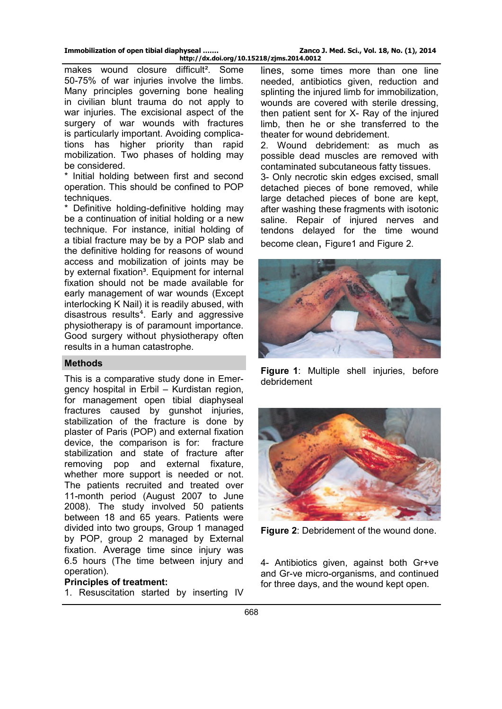makes wound closure difficult<sup>2</sup>. Some 50-75% of war injuries involve the limbs. Many principles governing bone healing in civilian blunt trauma do not apply to war injuries. The excisional aspect of the surgery of war wounds with fractures is particularly important. Avoiding complications has higher priority than rapid mobilization. Two phases of holding may be considered.

\* Initial holding between first and second operation. This should be confined to POP techniques.

\* Definitive holding-definitive holding may be a continuation of initial holding or a new technique. For instance, initial holding of a tibial fracture may be by a POP slab and the definitive holding for reasons of wound access and mobilization of joints may be by external fixation<sup>3</sup>. Equipment for internal fixation should not be made available for early management of war wounds (Except interlocking K Nail) it is readily abused, with disastrous results<sup>4</sup>. Early and aggressive physiotherapy is of paramount importance. Good surgery without physiotherapy often results in a human catastrophe.

# **Methods**

This is a comparative study done in Emergency hospital in Erbil – Kurdistan region, for management open tibial diaphyseal fractures caused by gunshot injuries, stabilization of the fracture is done by plaster of Paris (POP) and external fixation device, the comparison is for: fracture stabilization and state of fracture after removing pop and external fixature, whether more support is needed or not. The patients recruited and treated over 11-month period (August 2007 to June 2008). The study involved 50 patients between 18 and 65 years. Patients were divided into two groups, Group 1 managed by POP, group 2 managed by External fixation. Average time since injury was 6.5 hours (The time between injury and operation).

# **Principles of treatment:**

1. Resuscitation started by inserting IV

lines, some times more than one line needed, antibiotics given, reduction and splinting the injured limb for immobilization, wounds are covered with sterile dressing, then patient sent for X- Ray of the injured limb, then he or she transferred to the theater for wound debridement.

2. Wound debridement: as much as possible dead muscles are removed with contaminated subcutaneous fatty tissues.

3- Only necrotic skin edges excised, small detached pieces of bone removed, while large detached pieces of bone are kept, after washing these fragments with isotonic saline. Repair of injured nerves and tendons delayed for the time wound become clean, Figure1 and Figure 2.



**Figure 1**: Multiple shell injuries, before debridement



**Figure 2**: Debridement of the wound done.

4- Antibiotics given, against both Gr+ve and Gr-ve micro-organisms, and continued for three days, and the wound kept open.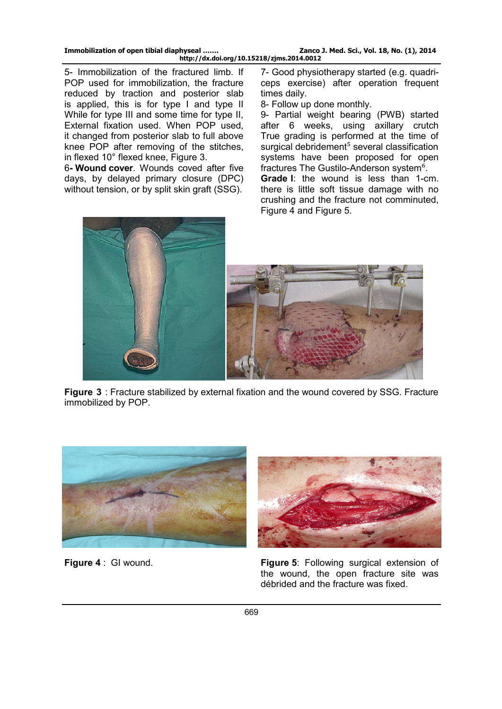5- Immobilization of the fractured limb. If POP used for immobilization, the fracture reduced by traction and posterior slab is applied, this is for type I and type II While for type III and some time for type II, External fixation used. When POP used, it changed from posterior slab to full above knee POP after removing of the stitches, in flexed 10° flexed knee, Figure 3.

6**- Wound cover**. Wounds coved after five days, by delayed primary closure (DPC) without tension, or by split skin graft (SSG).

7- Good physiotherapy started (e.g. quadriceps exercise) after operation frequent times daily.

8- Follow up done monthly.

9- Partial weight bearing (PWB) started after 6 weeks, using axillary crutch True grading is performed at the time of surgical debridement<sup>5</sup> several classification systems have been proposed for open fractures The Gustilo-Anderson system<sup>6</sup>. **Grade I**: the wound is less than 1-cm. there is little soft tissue damage with no crushing and the fracture not comminuted, Figure 4 and Figure 5.



**Figure 3** : Fracture stabilized by external fixation and the wound covered by SSG. Fracture immobilized by POP.





**Figure 4** : GI wound. **Figure 5**: Following surgical extension of the wound, the open fracture site was débrided and the fracture was fixed.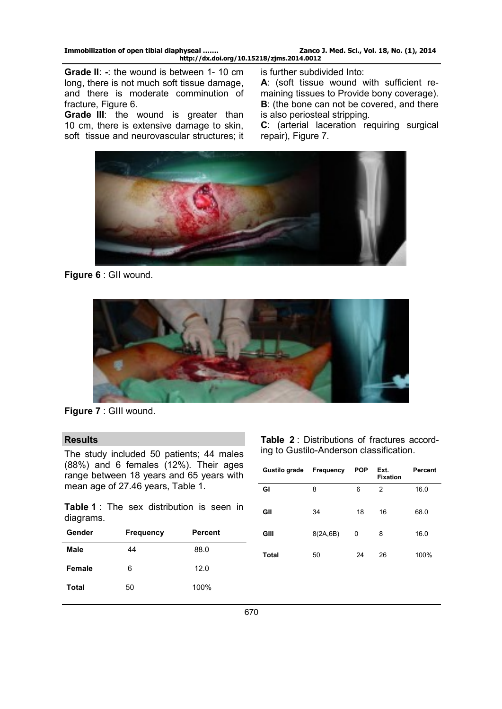**Grade II**: **-**: the wound is between 1- 10 cm long, there is not much soft tissue damage, and there is moderate comminution of fracture, Figure 6.

Grade III: the wound is greater than 10 cm, there is extensive damage to skin, soft tissue and neurovascular structures; it

is further subdivided Into:

**A**: (soft tissue wound with sufficient remaining tissues to Provide bony coverage). **B**: (the bone can not be covered, and there is also periosteal stripping.

**C**: (arterial laceration requiring surgical repair), Figure 7.



**Figure 6** : GII wound.



**Figure 7** : GIII wound.

#### **Results**

The study included 50 patients; 44 males (88%) and 6 females (12%). Their ages range between 18 years and 65 years with mean age of 27.46 years, Table 1.

**Table 1** : The sex distribution is seen in diagrams.

| Gender | <b>Frequency</b> | <b>Percent</b> |
|--------|------------------|----------------|
| Male   | 44               | 88.0           |
| Female | 6                | 12.0           |
| Total  | 50               | 100%           |

**Table 2** : Distributions of fractures according to Gustilo-Anderson classification.

| Gustilo grade | Frequency | <b>POP</b> | Ext.<br><b>Fixation</b> | Percent |
|---------------|-----------|------------|-------------------------|---------|
| GI            | 8         | 6          | 2                       | 16.0    |
| GII           | 34        | 18         | 16                      | 68.0    |
| GIII          | 8(2A, 6B) | 0          | 8                       | 16.0    |
| Total         | 50        | 24         | 26                      | 100%    |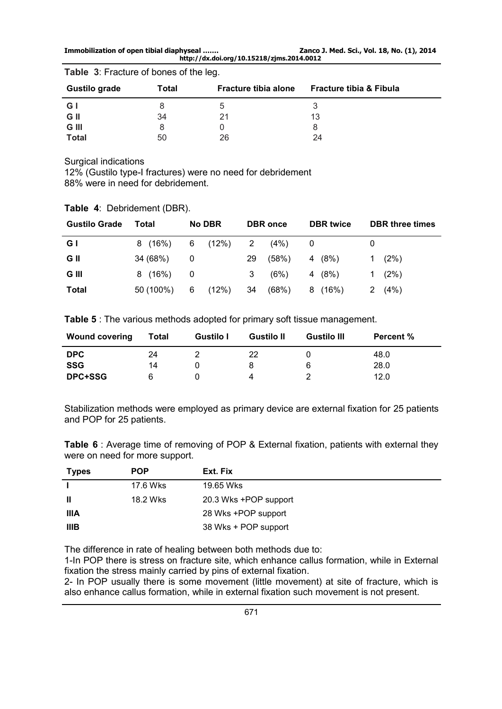**Immobilization of open tibial diaphyseal ……. Zanco J. Med. Sci., Vol. 18, No. (1), 2014 http://dx.doi.org/10.15218/zjms.2014.0012** 

| <b>Gustilo grade</b> | Total | <b>Fracture tibia alone</b> | <b>Fracture tibia &amp; Fibula</b> |
|----------------------|-------|-----------------------------|------------------------------------|
| G I                  |       |                             |                                    |
| G II                 | 34    | 21                          | 13                                 |
| G III                |       |                             | 8                                  |
| <b>Total</b>         | 50    | 26                          | 24                                 |

**Table 3**: Fracture of bones of the leg.

Surgical indications

12% (Gustilo type-I fractures) were no need for debridement 88% were in need for debridement.

|  | <b>Table 4: Debridement (DBR).</b> |  |
|--|------------------------------------|--|
|  |                                    |  |

| <b>Gustilo Grade</b> | Total     | <b>No DBR</b>  |       |    | <b>DBR</b> once | <b>DBR</b> twice |    | <b>DBR</b> three times |
|----------------------|-----------|----------------|-------|----|-----------------|------------------|----|------------------------|
| G I                  | 8(16%)    | 6 (12%)        |       | 2  | (4%)            |                  |    |                        |
| G II                 | 34 (68%)  | $\overline{0}$ |       | 29 | (58%)           | 4 (8%)           | 1. | (2%)                   |
| G III                | 8(16%)    | - 0            |       | 3  | (6%)            | 4 (8%)           |    | (2%)                   |
| <b>Total</b>         | 50 (100%) | 6              | (12%) | 34 | (68%)           | 8 (16%)          | 2  | $(4\%)$                |

**Table 5** : The various methods adopted for primary soft tissue management.

| <b>Wound covering</b> | Total | <b>Gustilo I</b> | <b>Gustilo II</b> | <b>Gustilo III</b> | <b>Percent %</b> |
|-----------------------|-------|------------------|-------------------|--------------------|------------------|
| <b>DPC</b>            | 24    |                  | 22                |                    | 48.0             |
| <b>SSG</b>            | 14    |                  |                   | 6                  | 28.0             |
| <b>DPC+SSG</b>        |       |                  |                   |                    | 12.0             |

Stabilization methods were employed as primary device are external fixation for 25 patients and POP for 25 patients.

**Table 6** : Average time of removing of POP & External fixation, patients with external they were on need for more support.

| Types       | <b>POP</b> | Ext. Fix              |
|-------------|------------|-----------------------|
|             | 17.6 Wks   | 19.65 Wks             |
| Ш           | 18.2 Wks   | 20.3 Wks +POP support |
| IIIA        |            | 28 Wks +POP support   |
| <b>IIIB</b> |            | 38 Wks + POP support  |

The difference in rate of healing between both methods due to:

1-In POP there is stress on fracture site, which enhance callus formation, while in External fixation the stress mainly carried by pins of external fixation.

2- In POP usually there is some movement (little movement) at site of fracture, which is also enhance callus formation, while in external fixation such movement is not present.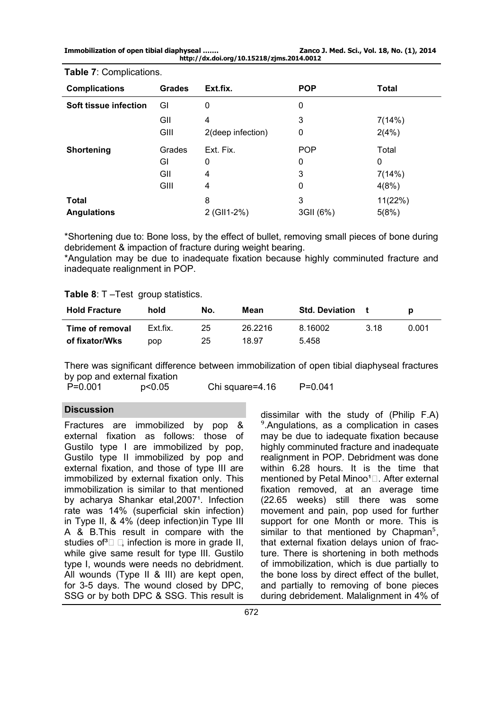**Immobilization of open tibial diaphyseal ……. Zanco J. Med. Sci., Vol. 18, No. (1), 2014 http://dx.doi.org/10.15218/zjms.2014.0012** 

| $\ldots$              |               |                   |            |              |  |
|-----------------------|---------------|-------------------|------------|--------------|--|
| <b>Complications</b>  | <b>Grades</b> | Ext.fix.          | <b>POP</b> | <b>Total</b> |  |
| Soft tissue infection | GI            | 0                 | 0          |              |  |
|                       | GII           | 4                 | 3          | 7(14%)       |  |
|                       | GIII          | 2(deep infection) | 0          | 2(4%)        |  |
| <b>Shortening</b>     | Grades        | Ext. Fix.         | <b>POP</b> | Total        |  |
|                       | GI            | 0                 | 0          | 0            |  |
|                       | GII           | 4                 | 3          | 7(14%)       |  |
|                       | GIII          | 4                 | 0          | 4(8%)        |  |
| <b>Total</b>          |               | 8                 | 3          | 11(22%)      |  |
| <b>Angulations</b>    |               | 2 (GII1-2%)       | 3GII (6%)  | 5(8%)        |  |
|                       |               |                   |            |              |  |

**Table 7**: Complications.

\*Shortening due to: Bone loss, by the effect of bullet, removing small pieces of bone during debridement & impaction of fracture during weight bearing.

\*Angulation may be due to inadequate fixation because highly comminuted fracture and inadequate realignment in POP.

### **Table 8**: T –Test group statistics.

| <b>Hold Fracture</b> | hold     | No. | Mean    | <b>Std. Deviation</b> |      |       |
|----------------------|----------|-----|---------|-----------------------|------|-------|
| Time of removal      | Ext.fix. | 25  | 26.2216 | 8.16002               | 3 18 | 0.001 |
| of fixator/Wks       | pop      | 25  | 18.97   | 5.458                 |      |       |

There was significant difference between immobilization of open tibial diaphyseal fractures by pop and external fixation<br> $P=0.001$   $p<0.05$ 

P=0.001 p<0.05 Chi square=4.16 P=0.041

# **Discussion**

Fractures are immobilized by pop & external fixation as follows: those of Gustilo type I are immobilized by pop, Gustilo type II immobilized by pop and external fixation, and those of type III are immobilized by external fixation only. This immobilization is similar to that mentioned by acharya Shankar etal, 2007<sup>1</sup>. Infection rate was 14% (superficial skin infection) in Type II, & 4% (deep infection)in Type III A & B.This result in compare with the studies of  $\Box$  infection is more in grade II, while give same result for type III. Gustilo type I, wounds were needs no debridment. All wounds (Type II & III) are kept open, for 3-5 days. The wound closed by DPC, SSG or by both DPC & SSG. This result is

dissimilar with the study of (Philip F.A) ⁹.Angulations, as a complication in cases may be due to iadequate fixation because highly comminuted fracture and inadequate realignment in POP. Debridment was done within 6.28 hours. It is the time that mentioned by Petal Minoo<sup>1</sup><sup>[2]</sup>. After external fixation removed, at an average time (22.65 weeks) still there was some movement and pain, pop used for further support for one Month or more. This is similar to that mentioned by Chapman<sup>5</sup>, that external fixation delays union of fracture. There is shortening in both methods of immobilization, which is due partially to the bone loss by direct effect of the bullet, and partially to removing of bone pieces during debridement. Malalignment in 4% of